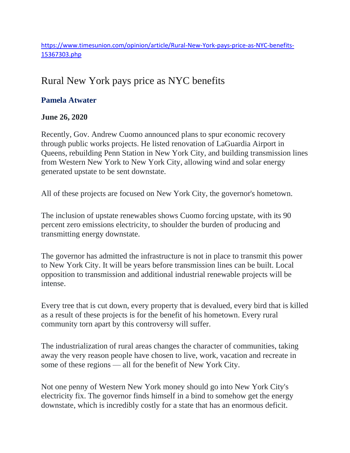[https://www.timesunion.com/opinion/article/Rural-New-York-pays-price-as-NYC-benefits-](https://www.timesunion.com/opinion/article/Rural-New-York-pays-price-as-NYC-benefits-15367303.php)[15367303.php](https://www.timesunion.com/opinion/article/Rural-New-York-pays-price-as-NYC-benefits-15367303.php)

## Rural New York pays price as NYC benefits

## **Pamela Atwater**

## **June 26, 2020**

Recently, Gov. Andrew Cuomo announced plans to spur economic recovery through public works projects. He listed renovation of LaGuardia Airport in Queens, rebuilding Penn Station in New York City, and building transmission lines from Western New York to New York City, allowing wind and solar energy generated upstate to be sent downstate.

All of these projects are focused on New York City, the governor's hometown.

The inclusion of upstate renewables shows Cuomo forcing upstate, with its 90 percent zero emissions electricity, to shoulder the burden of producing and transmitting energy downstate.

The governor has admitted the infrastructure is not in place to transmit this power to New York City. It will be years before transmission lines can be built. Local opposition to transmission and additional industrial renewable projects will be intense.

Every tree that is cut down, every property that is devalued, every bird that is killed as a result of these projects is for the benefit of his hometown. Every rural community torn apart by this controversy will suffer.

The industrialization of rural areas changes the character of communities, taking away the very reason people have chosen to live, work, vacation and recreate in some of these regions — all for the benefit of New York City.

Not one penny of Western New York money should go into New York City's electricity fix. The governor finds himself in a bind to somehow get the energy downstate, which is incredibly costly for a state that has an enormous deficit.